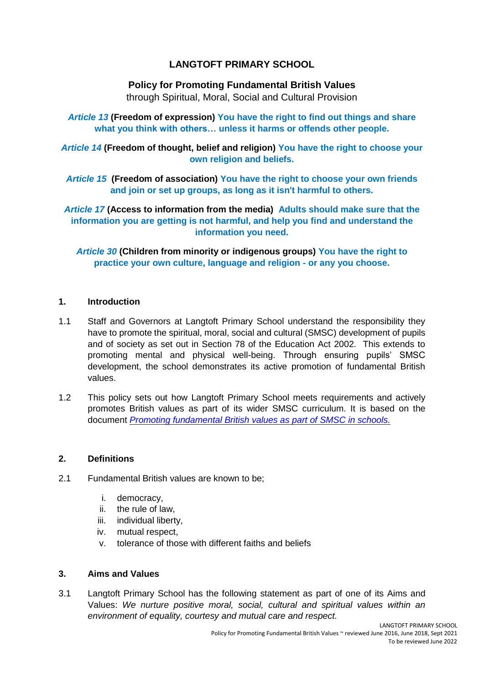# **LANGTOFT PRIMARY SCHOOL**

### **Policy for Promoting Fundamental British Values**

through Spiritual, Moral, Social and Cultural Provision

*Article 13* **(Freedom of expression) You have the right to find out things and share what you think with others… unless it harms or offends other people.** 

*Article 14* **(Freedom of thought, belief and religion) You have the right to choose your own religion and beliefs.** 

*Article 15* **(Freedom of association) You have the right to choose your own friends and join or set up groups, as long as it isn't harmful to others.** 

*Article 17* **(Access to information from the media) Adults should make sure that the information you are getting is not harmful, and help you find and understand the information you need.**

*Article 30* **(Children from minority or indigenous groups) You have the right to practice your own culture, language and religion - or any you choose.** 

# **1. Introduction**

- 1.1 Staff and Governors at Langtoft Primary School understand the responsibility they have to promote the spiritual, moral, social and cultural (SMSC) development of pupils and of society as set out in Section 78 of the Education Act 2002. This extends to promoting mental and physical well-being. Through ensuring pupils' SMSC development, the school demonstrates its active promotion of fundamental British values.
- 1.2 This policy sets out how Langtoft Primary School meets requirements and actively promotes British values as part of its wider SMSC curriculum. It is based on the document *[Promoting fundamental British values as part of SMSC in schools.](https://www.gov.uk/government/publications/promoting-fundamental-british-values-through-smsc)*

#### **2. Definitions**

- 2.1 Fundamental British values are known to be;
	- i. democracy,
	- ii. the rule of law,
	- iii. individual liberty,
	- iv. mutual respect,
	- v. tolerance of those with different faiths and beliefs

#### **3. Aims and Values**

3.1 Langtoft Primary School has the following statement as part of one of its Aims and Values: *We nurture positive moral, social, cultural and spiritual values within an environment of equality, courtesy and mutual care and respect.*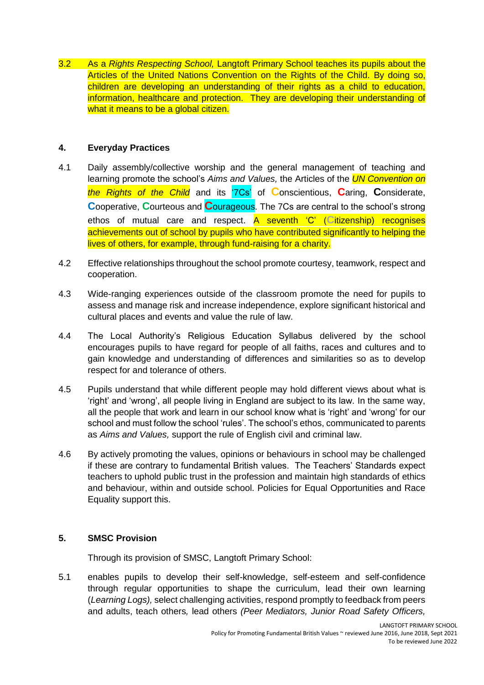3.2 As a *Rights Respecting School,* Langtoft Primary School teaches its pupils about the Articles of the United Nations Convention on the Rights of the Child. By doing so, children are developing an understanding of their rights as a child to education, information, healthcare and protection. They are developing their understanding of what it means to be a global citizen.

# **4. Everyday Practices**

- 4.1 Daily assembly/collective worship and the general management of teaching and learning promote the school's *Aims and Values,* the Articles of the *UN Convention on the Rights of the Child* and its '7Cs' of **C**onscientious, **C**aring, **C**onsiderate, **C**ooperative, **C**ourteous and **C**ourageous. The 7Cs are central to the school's strong ethos of mutual care and respect. A seventh 'C' (**C**itizenship) recognises achievements out of school by pupils who have contributed significantly to helping the lives of others, for example, through fund-raising for a charity.
- 4.2 Effective relationships throughout the school promote courtesy, teamwork, respect and cooperation.
- 4.3 Wide-ranging experiences outside of the classroom promote the need for pupils to assess and manage risk and increase independence, explore significant historical and cultural places and events and value the rule of law.
- 4.4 The Local Authority's Religious Education Syllabus delivered by the school encourages pupils to have regard for people of all faiths, races and cultures and to gain knowledge and understanding of differences and similarities so as to develop respect for and tolerance of others.
- 4.5 Pupils understand that while different people may hold different views about what is 'right' and 'wrong', all people living in England are subject to its law. In the same way, all the people that work and learn in our school know what is 'right' and 'wrong' for our school and must follow the school 'rules'. The school's ethos, communicated to parents as *Aims and Values,* support the rule of English civil and criminal law.
- 4.6 By actively promoting the values, opinions or behaviours in school may be challenged if these are contrary to fundamental British values. The Teachers' Standards expect teachers to uphold public trust in the profession and maintain high standards of ethics and behaviour, within and outside school. Policies for Equal Opportunities and Race Equality support this.

# **5. SMSC Provision**

Through its provision of SMSC, Langtoft Primary School:

5.1 enables pupils to develop their self-knowledge, self-esteem and self-confidence through regular opportunities to shape the curriculum, lead their own learning (*Learning Logs),* select challenging activities, respond promptly to feedback from peers and adults, teach others*,* lead others *(Peer Mediators, Junior Road Safety Officers,*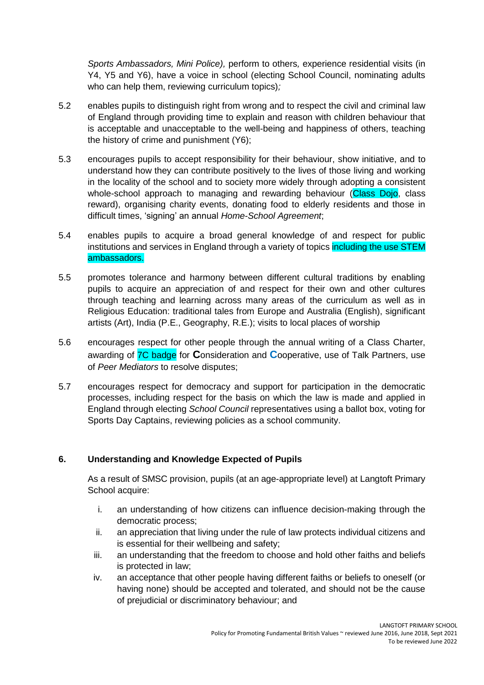*Sports Ambassadors, Mini Police),* perform to others*,* experience residential visits (in Y4, Y5 and Y6), have a voice in school (electing School Council, nominating adults who can help them, reviewing curriculum topics)*;*

- 5.2 enables pupils to distinguish right from wrong and to respect the civil and criminal law of England through providing time to explain and reason with children behaviour that is acceptable and unacceptable to the well-being and happiness of others, teaching the history of crime and punishment (Y6);
- 5.3 encourages pupils to accept responsibility for their behaviour, show initiative, and to understand how they can contribute positively to the lives of those living and working in the locality of the school and to society more widely through adopting a consistent whole-school approach to managing and rewarding behaviour (Class Dojo, class reward), organising charity events, donating food to elderly residents and those in difficult times, 'signing' an annual *Home-School Agreement*;
- 5.4 enables pupils to acquire a broad general knowledge of and respect for public institutions and services in England through a variety of topics including the use STEM ambassadors.
- 5.5 promotes tolerance and harmony between different cultural traditions by enabling pupils to acquire an appreciation of and respect for their own and other cultures through teaching and learning across many areas of the curriculum as well as in Religious Education: traditional tales from Europe and Australia (English), significant artists (Art), India (P.E., Geography, R.E.); visits to local places of worship
- 5.6 encourages respect for other people through the annual writing of a Class Charter, awarding of 7C badge for **C**onsideration and **C**ooperative, use of Talk Partners, use of *Peer Mediators* to resolve disputes;
- 5.7 encourages respect for democracy and support for participation in the democratic processes, including respect for the basis on which the law is made and applied in England through electing *School Council* representatives using a ballot box, voting for Sports Day Captains, reviewing policies as a school community.

# **6. Understanding and Knowledge Expected of Pupils**

As a result of SMSC provision, pupils (at an age-appropriate level) at Langtoft Primary School acquire:

- i. an understanding of how citizens can influence decision-making through the democratic process;
- ii. an appreciation that living under the rule of law protects individual citizens and is essential for their wellbeing and safety;
- iii. an understanding that the freedom to choose and hold other faiths and beliefs is protected in law;
- iv. an acceptance that other people having different faiths or beliefs to oneself (or having none) should be accepted and tolerated, and should not be the cause of prejudicial or discriminatory behaviour; and